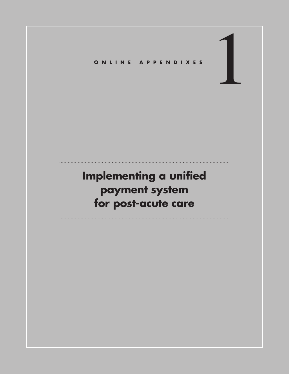# 1 **ONLINE APPENDIXES**

# **Implementing a unified payment system for post-acute care**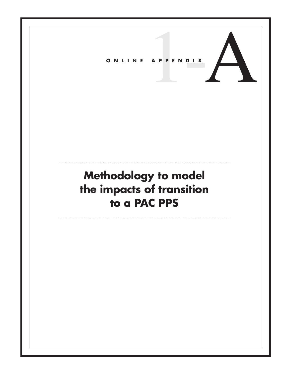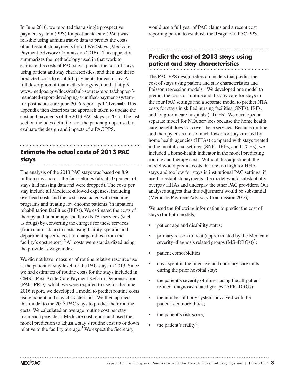In June 2016, we reported that a single prospective payment system (PPS) for post-acute care (PAC) was feasible using administrative data to predict the costs of and establish payments for all PAC stays (Medicare Payment Advisory Commission  $2016$ .<sup>1</sup> This appendix summarizes the methodology used in that work to estimate the costs of PAC stays, predict the cost of stays using patient and stay characteristics, and then use these predicted costs to establish payments for each stay. A full description of that methodology is found at http:// www.medpac.gov/docs/default-source/reports/chapter-3 mandated-report-developing-a-unified-payment-systemfor-post-acute-care-june-2016-report-.pdf?sfvrsn=0. This appendix then describes the approach taken to update the cost and payments of the 2013 PAC stays to 2017. The last section includes definitions of the patient groups used to evaluate the design and impacts of a PAC PPS.

# **Estimate the actual costs of 2013 PAC stays**

The analysis of the 2013 PAC stays was based on 8.9 million stays across the four settings (about 10 percent of stays had missing data and were dropped). The costs per stay include all Medicare-allowed expenses, including overhead costs and the costs associated with teaching programs and treating low-income patients (in inpatient rehabilitation facilities (IRFs)). We estimated the costs of therapy and nontherapy ancillary (NTA) services (such as drugs) by converting the charges for these services (from claims data) to costs using facility-specific and department-specific cost-to-charge ratios (from the facility's cost report).<sup>2</sup> All costs were standardized using the provider's wage index.

We did not have measures of routine relative resource use at the patient or stay level for the PAC stays in 2013. Since we had estimates of routine costs for the stays included in CMS's Post-Acute Care Payment Reform Demonstration (PAC–PRD), which we were required to use for the June 2016 report, we developed a model to predict routine costs using patient and stay characteristics. We then applied this model to the 2013 PAC stays to predict their routine costs. We calculated an average routine cost per stay from each provider's Medicare cost report and used the model prediction to adjust a stay's routine cost up or down relative to the facility average.<sup>3</sup> We expect the Secretary

would use a full year of PAC claims and a recent cost reporting period to establish the design of a PAC PPS.

# **Predict the cost of 2013 stays using patient and stay characteristics**

The PAC PPS design relies on models that predict the cost of stays using patient and stay characteristics and Poisson regression models.<sup>4</sup> We developed one model to predict the costs of routine and therapy care for stays in the four PAC settings and a separate model to predict NTA costs for stays in skilled nursing facilities (SNFs), IRFs, and long-term care hospitals (LTCHs). We developed a separate model for NTA services because the home health care benefit does not cover these services. Because routine and therapy costs are so much lower for stays treated by home health agencies (HHAs) compared with stays treated in the institutional settings (SNFs, IRFs, and LTCHs), we included a home-health indicator in the model predicting routine and therapy costs. Without this adjustment, the model would predict costs that are too high for HHA stays and too low for stays in institutional PAC settings; if used to establish payments, the model would substantially overpay HHAs and underpay the other PAC providers. Our analyses suggest that this adjustment would be substantial (Medicare Payment Advisory Commission 2016).

We used the following information to predict the cost of stays (for both models):

- patient age and disability status;
- primary reason to treat (approximated by the Medicare severity–diagnosis related groups  $(MS–DRGs))^{5}$ ;
- patient comorbidities;
- days spent in the intensive and coronary care units during the prior hospital stay;
- the patient's severity of illness using the all-patient refined–diagnosis related groups (APR–DRGs);
- the number of body systems involved with the patient's comorbidities;
- the patient's risk score;
- the patient's frailty<sup>6</sup>;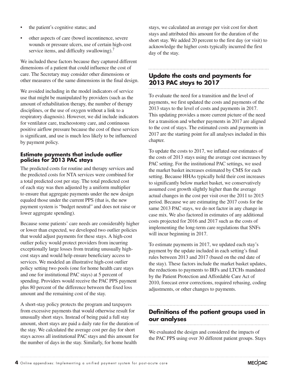- the patient's cognitive status; and
- other aspects of care (bowel incontinence, severe wounds or pressure ulcers, use of certain high-cost service items, and difficulty swallowing).<sup>7</sup>

We included these factors because they captured different dimensions of a patient that could influence the cost of care. The Secretary may consider other dimensions or other measures of the same dimensions in the final design.

We avoided including in the model indicators of service use that might be manipulated by providers (such as the amount of rehabilitation therapy, the number of therapy disciplines, or the use of oxygen without a link to a respiratory diagnosis). However, we did include indicators for ventilator care, tracheostomy care, and continuous positive airflow pressure because the cost of these services is significant, and use is much less likely to be influenced by payment policy.

#### **Estimate payments that include outlier policies for 2013 PAC stays**

The predicted costs for routine and therapy services and the predicted costs for NTA services were combined for a total predicted cost per stay. The total predicted cost of each stay was then adjusted by a uniform multiplier to ensure that aggregate payments under the new design equaled those under the current PPS (that is, the new payment system is "budget neutral" and does not raise or lower aggregate spending).

Because some patients' care needs are considerably higher or lower than expected, we developed two outlier policies that would adjust payments for these stays. A high-cost outlier policy would protect providers from incurring exceptionally large losses from treating unusually highcost stays and would help ensure beneficiary access to services. We modeled an illustrative high-cost outlier policy setting two pools (one for home health care stays and one for institutional PAC stays) at 5 percent of spending. Providers would receive the PAC PPS payment plus 80 percent of the difference between the fixed loss amount and the remaining cost of the stay.

A short-stay policy protects the program and taxpayers from excessive payments that would otherwise result for unusually short stays. Instead of being paid a full stay amount, short stays are paid a daily rate for the duration of the stay. We calculated the average cost per day for short stays across all institutional PAC stays and this amount for the number of days in the stay. Similarly, for home health

stays, we calculated an average per visit cost for short stays and attributed this amount for the duration of the short stay. We added 20 percent to the first day (or visit) to acknowledge the higher costs typically incurred the first day of the stay.

### **Update the costs and payments for 2013 PAC stays to 2017**

To evaluate the need for a transition and the level of payments, we first updated the costs and payments of the 2013 stays to the level of costs and payments in 2017. This updating provides a more current picture of the need for a transition and whether payments in 2017 are aligned to the cost of stays. The estimated costs and payments in 2017 are the starting point for all analyses included in this chapter.

To update the costs to 2017, we inflated our estimates of the costs of 2013 stays using the average cost increases by PAC setting. For the institutional PAC settings, we used the market basket increases estimated by CMS for each setting. Because HHAs typically hold their cost increases to significantly below market basket, we conservatively assumed cost growth slightly higher than the average actual changes in the cost per visit over the 2011 to 2015 period. Because we are estimating the 2017 costs for the same 2013 PAC stays, we do not factor in any change in case mix. We also factored in estimates of any additional costs projected for 2016 and 2017 such as the costs of implementing the long-term care regulations that SNFs will incur beginning in 2017.

To estimate payments in 2017, we updated each stay's payment by the update included in each setting's final rules between 2013 and 2017 (based on the end date of the stay). These factors include the market basket updates, the reductions to payments to IRFs and LTCHs mandated by the Patient Protection and Affordable Care Act of 2010, forecast error corrections, required rebasing, coding adjustments, or other changes to payments.

## **Definitions of the patient groups used in our analyses**

We evaluated the design and considered the impacts of the PAC PPS using over 30 different patient groups. Stays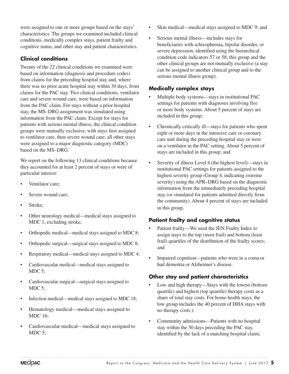were assigned to one or more groups based on the stays' characteristics. The groups we examined included clinical conditions, medically complex stays, patient frailty and cognitive status, and other stay and patient characteristics.

#### **Clinical conditions**

Twenty of the 22 clinical conditions we examined were based on information (diagnosis and procedure codes) from claims for the preceding hospital stay and, where there was no prior acute hospital stay within 30 days, from claims for the PAC stay. Two clinical conditions, ventilator care and severe wound care, were based on information from the PAC claim. For stays without a prior hospital stay, the MS–DRG assignment was simulated using information from the PAC claim. Except for stays for patients with serious mental illness, the clinical condition groups were mutually exclusive, with stays first assigned to ventilator care, then severe wound care; all other stays were assigned to a major diagnostic category (MDC) based on the MS–DRG.

We report on the following 13 clinical conditions because they accounted for at least 2 percent of stays or were of particular interest:

- Ventilator care:
- Severe wound care:
- Stroke;
- Other neurology medical—medical stays assigned to MDC 1, excluding stroke;
- Orthopedic medical—medical stays assigned to MDC 8;
- Orthopedic surgical—surgical stays assigned to MDC 8;
- Respiratory medical—medical stays assigned to MDC 4;
- Cardiovascular medical—medical stays assigned to MDC 5:
- Cardiovascular surgical—surgical stays assigned to MDC 5;
- Infection medical—medical stays assigned to MDC 18;
- Hematology medical—medical stays assigned to MDC 16;
- Cardiovascular medical—medical stays assigned to MDC 5;
- Skin medical—medical stays assigned to MDC 9; and
- Serious mental illness—includes stays for beneficiaries with schizophrenia, bipolar disorder, or severe depression, identified using the hierarchical condition code indicators 57 or 58; this group and the other clinical groups are not mutually exclusive (a stay can be assigned to another clinical group and to the serious mental illness group).

#### **Medically complex stays**

- Multiple body systems—stays in institutional PAC settings for patients with diagnoses involving five or more body systems. About 5 percent of stays are included in this group;
- Chronically critically ill—stays for patients who spent eight or more days in the intensive care or coronary care unit during the preceding hospital stay or were on a ventilator in the PAC setting. About 5 percent of stays are included in this group; and
- Severity of illness Level 4 (the highest level)—stays in institutional PAC settings for patients assigned to the highest severity group (Group 4, indicating extreme severity) using the APR–DRG based on the diagnostic information from the immediately preceding hospital stay (or simulated for patients admitted directly from the community). About 4 percent of stays are included in this group.

#### **Patient frailty and cognitive status**

- Patient frailty—We used the JEN Frailty Index to assign stays to the top (most frail) and bottom (least frail) quartiles of the distribution of the frailty scores; and
- Impaired cognition—patients who were in a coma or had dementia or Alzheimer's disease.

#### **Other stay and patient characteristics**

- Low and high therapy—Stays with the lowest (bottom quartile) and highest (top quartile) therapy costs as a share of total stay costs. For home health stays, the low group includes the 40 percent of HHA stays with no therapy costs.);
- Community admissions—Patients with no hospital stay within the 30 days preceding the PAC stay, identified by the lack of a matching hospital claim;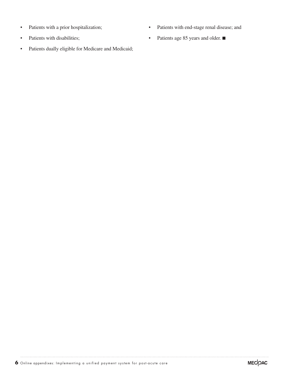- Patients with a prior hospitalization;
- Patients with disabilities;
- Patients dually eligible for Medicare and Medicaid;
- Patients with end-stage renal disease; and
- Patients age 85 years and older. ■

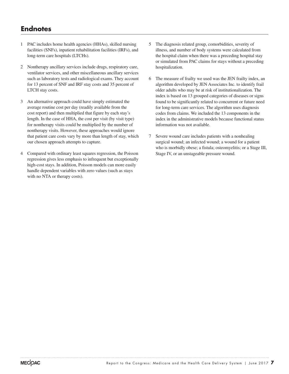# **Endnotes**

- 1 PAC includes home health agencies (HHAs), skilled nursing facilities (SNFs), inpatient rehabilitation facilities (IRFs), and long-term care hospitals (LTCHs).
- 2 Nontherapy ancillary services include drugs, respiratory care, ventilator services, and other miscellaneous ancillary services such as laboratory tests and radiological exams. They account for 13 percent of SNF and IRF stay costs and 35 percent of LTCH stay costs.
- 3 An alternative approach could have simply estimated the average routine cost per day (readily available from the cost report) and then multiplied that figure by each stay's length. In the case of HHA, the cost per visit (by visit type) for nontherapy visits could be multiplied by the number of nontherapy visits. However, these approaches would ignore that patient care costs vary by more than length of stay, which our chosen approach attempts to capture.
- 4 Compared with ordinary least squares regression, the Poisson regression gives less emphasis to infrequent but exceptionally high-cost stays. In addition, Poisson models can more easily handle dependent variables with zero values (such as stays with no NTA or therapy costs).
- 5 The diagnosis related group, comorbidities, severity of illness, and number of body systems were calculated from the hospital claim when there was a preceding hospital stay or simulated from PAC claims for stays without a preceding hospitalization.
- 6 The measure of frailty we used was the JEN frailty index, an algorithm developed by JEN Associates Inc. to identify frail older adults who may be at risk of institutionalization. The index is based on 13 grouped categories of diseases or signs found to be significantly related to concurrent or future need for long-term care services. The algorithm uses diagnosis codes from claims. We included the 13 components in the index in the administrative models because functional status information was not available.
- 7 Severe wound care includes patients with a nonhealing surgical wound; an infected wound; a wound for a patient who is morbidly obese; a fistula; osteomyelitis; or a Stage III, Stage IV, or an unstageable pressure wound.